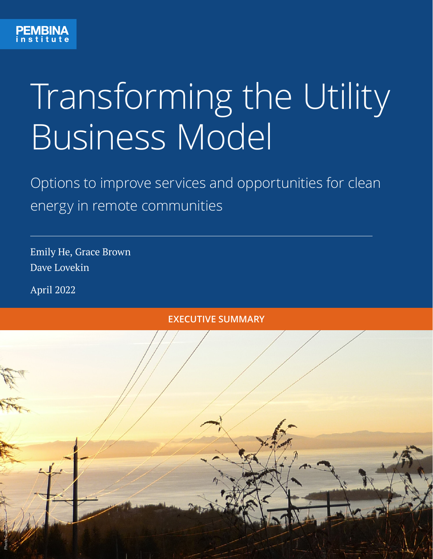

## Transforming the Utility Business Model

Options to improve services and opportunities for clean energy in remote communities

Emily He, Grace Brown Dave Lovekin

April 2022

# Photo: Guilhem vellut **EXECUTIVE SUMMARY**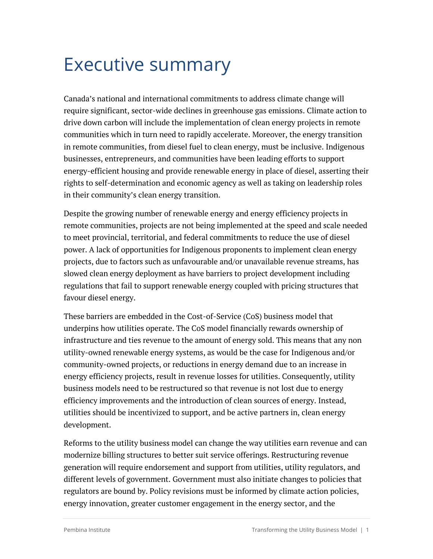### Executive summary

Canada's national and international commitments to address climate change will require significant, sector-wide declines in greenhouse gas emissions. Climate action to drive down carbon will include the implementation of clean energy projects in remote communities which in turn need to rapidly accelerate. Moreover, the energy transition in remote communities, from diesel fuel to clean energy, must be inclusive. Indigenous businesses, entrepreneurs, and communities have been leading efforts to support energy-efficient housing and provide renewable energy in place of diesel, asserting their rights to self-determination and economic agency as well as taking on leadership roles in their community's clean energy transition.

Despite the growing number of renewable energy and energy efficiency projects in remote communities, projects are not being implemented at the speed and scale needed to meet provincial, territorial, and federal commitments to reduce the use of diesel power. A lack of opportunities for Indigenous proponents to implement clean energy projects, due to factors such as unfavourable and/or unavailable revenue streams, has slowed clean energy deployment as have barriers to project development including regulations that fail to support renewable energy coupled with pricing structures that favour diesel energy.

These barriers are embedded in the Cost-of-Service (CoS) business model that underpins how utilities operate. The CoS model financially rewards ownership of infrastructure and ties revenue to the amount of energy sold. This means that any non utility-owned renewable energy systems, as would be the case for Indigenous and/or community-owned projects, or reductions in energy demand due to an increase in energy efficiency projects, result in revenue losses for utilities. Consequently, utility business models need to be restructured so that revenue is not lost due to energy efficiency improvements and the introduction of clean sources of energy. Instead, utilities should be incentivized to support, and be active partners in, clean energy development.

Reforms to the utility business model can change the way utilities earn revenue and can modernize billing structures to better suit service offerings. Restructuring revenue generation will require endorsement and support from utilities, utility regulators, and different levels of government. Government must also initiate changes to policies that regulators are bound by. Policy revisions must be informed by climate action policies, energy innovation, greater customer engagement in the energy sector, and the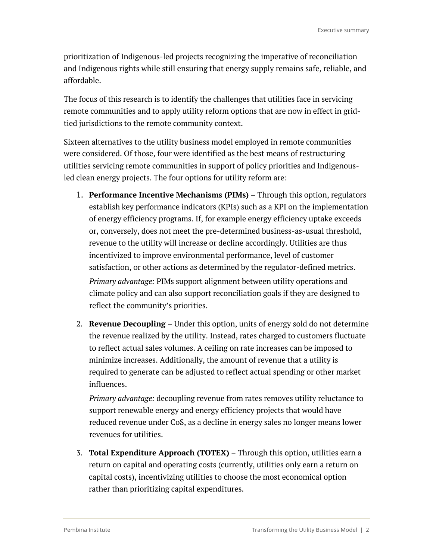prioritization of Indigenous-led projects recognizing the imperative of reconciliation and Indigenous rights while still ensuring that energy supply remains safe, reliable, and affordable.

The focus of this research is to identify the challenges that utilities face in servicing remote communities and to apply utility reform options that are now in effect in gridtied jurisdictions to the remote community context.

Sixteen alternatives to the utility business model employed in remote communities were considered. Of those, four were identified as the best means of restructuring utilities servicing remote communities in support of policy priorities and Indigenousled clean energy projects. The four options for utility reform are:

- 1. **Performance Incentive Mechanisms (PIMs)** Through this option, regulators establish key performance indicators (KPIs) such as a KPI on the implementation of energy efficiency programs. If, for example energy efficiency uptake exceeds or, conversely, does not meet the pre-determined business-as-usual threshold, revenue to the utility will increase or decline accordingly. Utilities are thus incentivized to improve environmental performance, level of customer satisfaction, or other actions as determined by the regulator-defined metrics. *Primary advantage:* PIMs support alignment between utility operations and climate policy and can also support reconciliation goals if they are designed to reflect the community's priorities.
- 2. **Revenue Decoupling** Under this option, units of energy sold do not determine the revenue realized by the utility. Instead, rates charged to customers fluctuate to reflect actual sales volumes. A ceiling on rate increases can be imposed to minimize increases. Additionally, the amount of revenue that a utility is required to generate can be adjusted to reflect actual spending or other market influences.

*Primary advantage:* decoupling revenue from rates removes utility reluctance to support renewable energy and energy efficiency projects that would have reduced revenue under CoS, as a decline in energy sales no longer means lower revenues for utilities.

3. **Total Expenditure Approach (TOTEX)** – Through this option, utilities earn a return on capital and operating costs (currently, utilities only earn a return on capital costs), incentivizing utilities to choose the most economical option rather than prioritizing capital expenditures.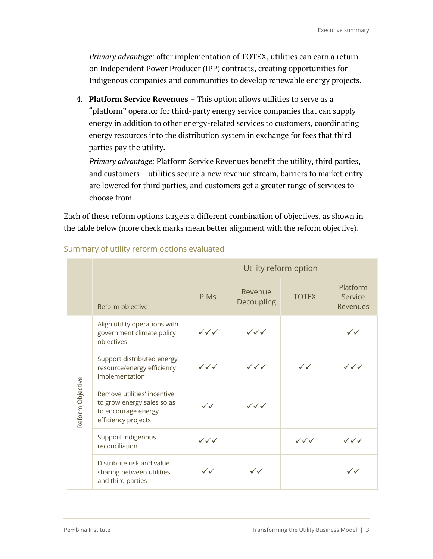*Primary advantage:* after implementation of TOTEX, utilities can earn a return on Independent Power Producer (IPP) contracts, creating opportunities for Indigenous companies and communities to develop renewable energy projects.

4. **Platform Service Revenues** – This option allows utilities to serve as a "platform" operator for third-party energy service companies that can supply energy in addition to other energy-related services to customers, coordinating energy resources into the distribution system in exchange for fees that third parties pay the utility.

*Primary advantage:* Platform Service Revenues benefit the utility, third parties, and customers – utilities secure a new revenue stream, barriers to market entry are lowered for third parties, and customers get a greater range of services to choose from.

Each of these reform options targets a different combination of objectives, as shown in the table below (more check marks mean better alignment with the reform objective).

|                  |                                                                                                         | Utility reform option            |                                  |                                  |                                        |  |
|------------------|---------------------------------------------------------------------------------------------------------|----------------------------------|----------------------------------|----------------------------------|----------------------------------------|--|
|                  | Reform objective                                                                                        | <b>PIM<sub>S</sub></b>           | Revenue<br>Decoupling            | <b>TOTEX</b>                     | Platform<br>Service<br><b>Revenues</b> |  |
| Reform Objective | Align utility operations with<br>government climate policy<br>objectives                                | $\checkmark\checkmark\checkmark$ | $\checkmark\checkmark\checkmark$ |                                  | $\checkmark$                           |  |
|                  | Support distributed energy<br>resource/energy efficiency<br>implementation                              | $\checkmark\checkmark\checkmark$ | $\checkmark\checkmark\checkmark$ | $\checkmark$                     | $\checkmark\checkmark\checkmark$       |  |
|                  | Remove utilities' incentive<br>to grow energy sales so as<br>to encourage energy<br>efficiency projects | $\checkmark$                     | $\checkmark\checkmark\checkmark$ |                                  |                                        |  |
|                  | Support Indigenous<br>reconciliation                                                                    | $\checkmark\checkmark\checkmark$ |                                  | $\checkmark\checkmark\checkmark$ | $\checkmark\checkmark$                 |  |
|                  | Distribute risk and value<br>sharing between utilities<br>and third parties                             | $\checkmark$                     | $\checkmark$                     |                                  | $\checkmark$                           |  |

#### Summary of utility reform options evaluated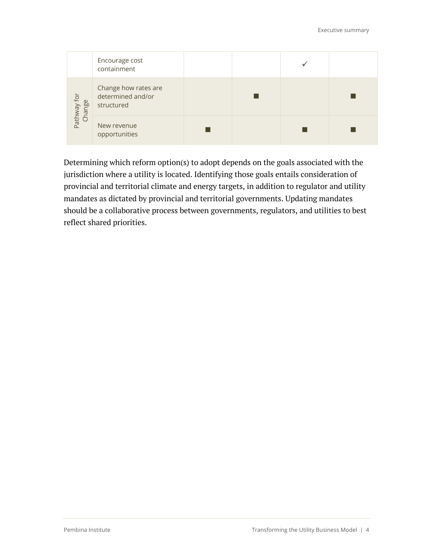|                       | Encourage cost<br>containment                           |  |  |
|-----------------------|---------------------------------------------------------|--|--|
| Pathway for<br>Change | Change how rates are<br>determined and/or<br>structured |  |  |
|                       | New revenue<br>opportunities                            |  |  |

Determining which reform option(s) to adopt depends on the goals associated with the jurisdiction where a utility is located. Identifying those goals entails consideration of provincial and territorial climate and energy targets, in addition to regulator and utility mandates as dictated by provincial and territorial governments. Updating mandates should be a collaborative process between governments, regulators, and utilities to best reflect shared priorities.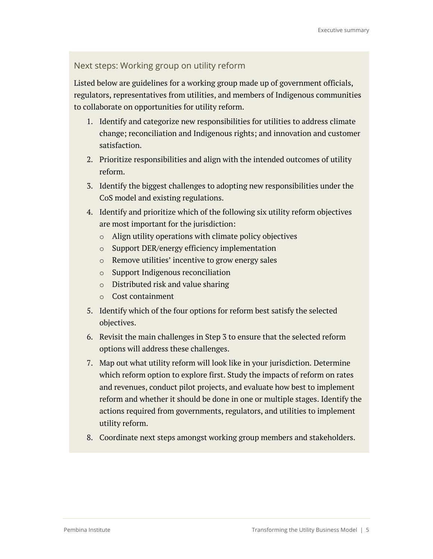#### Next steps: Working group on utility reform

Listed below are guidelines for a working group made up of government officials, regulators, representatives from utilities, and members of Indigenous communities to collaborate on opportunities for utility reform.

- 1. Identify and categorize new responsibilities for utilities to address climate change; reconciliation and Indigenous rights; and innovation and customer satisfaction.
- 2. Prioritize responsibilities and align with the intended outcomes of utility reform.
- 3. Identify the biggest challenges to adopting new responsibilities under the CoS model and existing regulations.
- 4. Identify and prioritize which of the following six utility reform objectives are most important for the jurisdiction:
	- o Align utility operations with climate policy objectives
	- o Support DER/energy efficiency implementation
	- o Remove utilities' incentive to grow energy sales
	- o Support Indigenous reconciliation
	- o Distributed risk and value sharing
	- o Cost containment
- 5. Identify which of the four options for reform best satisfy the selected objectives.
- 6. Revisit the main challenges in Step 3 to ensure that the selected reform options will address these challenges.
- 7. Map out what utility reform will look like in your jurisdiction. Determine which reform option to explore first. Study the impacts of reform on rates and revenues, conduct pilot projects, and evaluate how best to implement reform and whether it should be done in one or multiple stages. Identify the actions required from governments, regulators, and utilities to implement utility reform.
- 8. Coordinate next steps amongst working group members and stakeholders.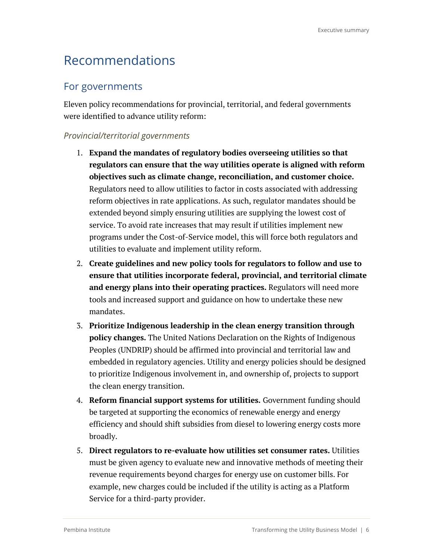#### Recommendations

#### For governments

Eleven policy recommendations for provincial, territorial, and federal governments were identified to advance utility reform:

#### *Provincial/territorial governments*

- 1. **Expand the mandates of regulatory bodies overseeing utilities so that regulators can ensure that the way utilities operate is aligned with reform objectives such as climate change, reconciliation, and customer choice.** Regulators need to allow utilities to factor in costs associated with addressing reform objectives in rate applications. As such, regulator mandates should be extended beyond simply ensuring utilities are supplying the lowest cost of service. To avoid rate increases that may result if utilities implement new programs under the Cost-of-Service model, this will force both regulators and utilities to evaluate and implement utility reform.
- 2. **Create guidelines and new policy tools for regulators to follow and use to ensure that utilities incorporate federal, provincial, and territorial climate and energy plans into their operating practices.** Regulators will need more tools and increased support and guidance on how to undertake these new mandates.
- 3. **Prioritize Indigenous leadership in the clean energy transition through policy changes.** The United Nations Declaration on the Rights of Indigenous Peoples (UNDRIP) should be affirmed into provincial and territorial law and embedded in regulatory agencies. Utility and energy policies should be designed to prioritize Indigenous involvement in, and ownership of, projects to support the clean energy transition.
- 4. **Reform financial support systems for utilities.** Government funding should be targeted at supporting the economics of renewable energy and energy efficiency and should shift subsidies from diesel to lowering energy costs more broadly.
- 5. **Direct regulators to re-evaluate how utilities set consumer rates.** Utilities must be given agency to evaluate new and innovative methods of meeting their revenue requirements beyond charges for energy use on customer bills. For example, new charges could be included if the utility is acting as a Platform Service for a third-party provider.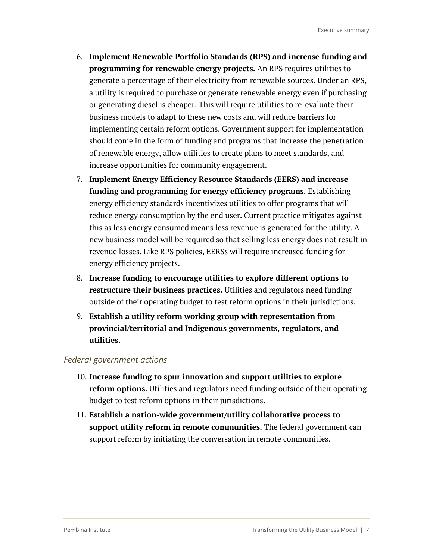- 6. **Implement Renewable Portfolio Standards (RPS) and increase funding and programming for renewable energy projects.** An RPS requires utilities to generate a percentage of their electricity from renewable sources. Under an RPS, a utility is required to purchase or generate renewable energy even if purchasing or generating diesel is cheaper. This will require utilities to re-evaluate their business models to adapt to these new costs and will reduce barriers for implementing certain reform options. Government support for implementation should come in the form of funding and programs that increase the penetration of renewable energy, allow utilities to create plans to meet standards, and increase opportunities for community engagement.
- 7. **Implement Energy Efficiency Resource Standards (EERS) and increase funding and programming for energy efficiency programs.** Establishing energy efficiency standards incentivizes utilities to offer programs that will reduce energy consumption by the end user. Current practice mitigates against this as less energy consumed means less revenue is generated for the utility. A new business model will be required so that selling less energy does not result in revenue losses. Like RPS policies, EERSs will require increased funding for energy efficiency projects.
- 8. **Increase funding to encourage utilities to explore different options to restructure their business practices.** Utilities and regulators need funding outside of their operating budget to test reform options in their jurisdictions.
- 9. **Establish a utility reform working group with representation from provincial/territorial and Indigenous governments, regulators, and utilities.**

#### *Federal government actions*

- 10. **Increase funding to spur innovation and support utilities to explore reform options.** Utilities and regulators need funding outside of their operating budget to test reform options in their jurisdictions.
- 11. **Establish a nation-wide government/utility collaborative process to support utility reform in remote communities.** The federal government can support reform by initiating the conversation in remote communities.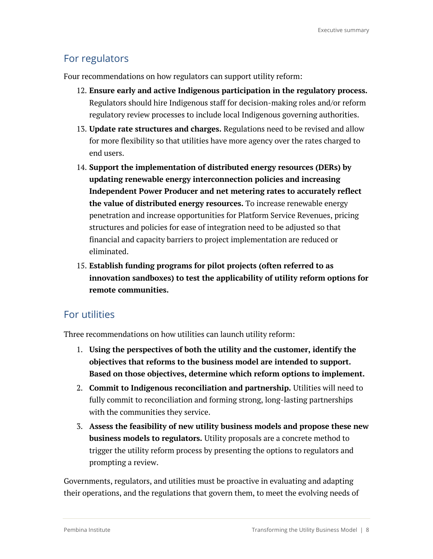#### For regulators

Four recommendations on how regulators can support utility reform:

- 12. **Ensure early and active Indigenous participation in the regulatory process.** Regulators should hire Indigenous staff for decision-making roles and/or reform regulatory review processes to include local Indigenous governing authorities.
- 13. **Update rate structures and charges.** Regulations need to be revised and allow for more flexibility so that utilities have more agency over the rates charged to end users.
- 14. **Support the implementation of distributed energy resources (DERs) by updating renewable energy interconnection policies and increasing Independent Power Producer and net metering rates to accurately reflect the value of distributed energy resources.** To increase renewable energy penetration and increase opportunities for Platform Service Revenues, pricing structures and policies for ease of integration need to be adjusted so that financial and capacity barriers to project implementation are reduced or eliminated.
- 15. **Establish funding programs for pilot projects (often referred to as innovation sandboxes) to test the applicability of utility reform options for remote communities.**

#### For utilities

Three recommendations on how utilities can launch utility reform:

- 1. **Using the perspectives of both the utility and the customer, identify the objectives that reforms to the business model are intended to support. Based on those objectives, determine which reform options to implement.**
- 2. **Commit to Indigenous reconciliation and partnership.** Utilities will need to fully commit to reconciliation and forming strong, long-lasting partnerships with the communities they service.
- 3. **Assess the feasibility of new utility business models and propose these new business models to regulators.** Utility proposals are a concrete method to trigger the utility reform process by presenting the options to regulators and prompting a review.

Governments, regulators, and utilities must be proactive in evaluating and adapting their operations, and the regulations that govern them, to meet the evolving needs of